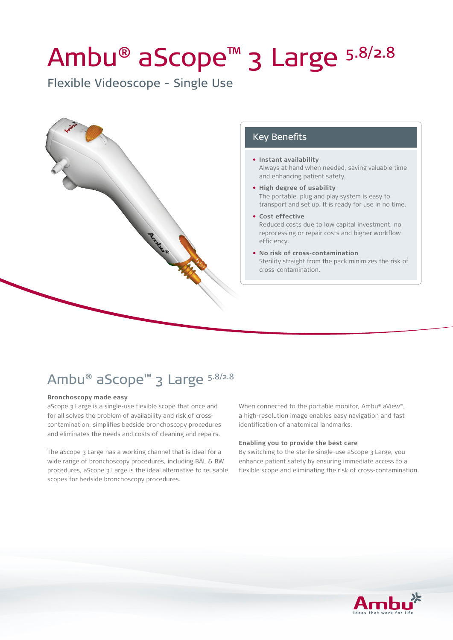# Ambu® aScope™ 3 Large 5.8/2.8

Flexible Videoscope - Single Use



#### Key Benefits

- **• Instant availability** Always at hand when needed, saving valuable time and enhancing patient safety.
- **• High degree of usability** The portable, plug and play system is easy to transport and set up. It is ready for use in no time.
- **• Cost effective** Reduced costs due to low capital investment, no reprocessing or repair costs and higher workflow efficiency.
- **• No risk of cross-contamination** Sterility straight from the pack minimizes the risk of cross-contamination.

## Ambu® aScope™ 3 Large 5.8/2.8

#### **Bronchoscopy made easy**

aScope 3 Large is a single-use flexible scope that once and for all solves the problem of availability and risk of crosscontamination, simplifies bedside bronchoscopy procedures and eliminates the needs and costs of cleaning and repairs.

The aScope 3 Large has a working channel that is ideal for a wide range of bronchoscopy procedures, including BAL & BW procedures, aScope 3 Large is the ideal alternative to reusable scopes for bedside bronchoscopy procedures.

When connected to the portable monitor, Ambu® aView™, a high-resolution image enables easy navigation and fast identification of anatomical landmarks.

#### **Enabling you to provide the best care**

By switching to the sterile single-use aScope 3 Large, you enhance patient safety by ensuring immediate access to a flexible scope and eliminating the risk of cross-contamination.